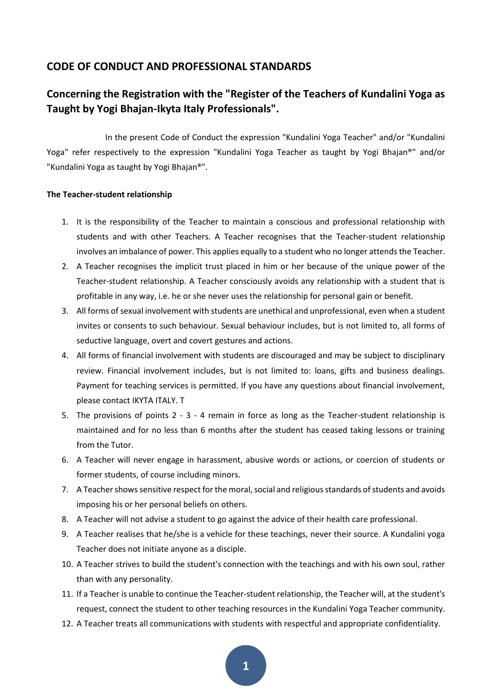# **CODE OF CONDUCT AND PROFESSIONAL STANDARDS**

# **Concerning the Registration with the "Register of the Teachers of Kundalini Yoga as Taught by Yogi Bhajan-Ikyta Italy Professionals".**

In the present Code of Conduct the expression "Kundalini Yoga Teacher" and/or "Kundalini Yoga" refer respectively to the expression "Kundalini Yoga Teacher as taught by Yogi Bhajan®" and/or "Kundalini Yoga as taught by Yogi Bhajan®".

## **The Teacher-student relationship**

- 1. It is the responsibility of the Teacher to maintain a conscious and professional relationship with students and with other Teachers. A Teacher recognises that the Teacher-student relationship involves an imbalance of power. This applies equally to a student who no longer attends the Teacher.
- 2. A Teacher recognises the implicit trust placed in him or her because of the unique power of the Teacher-student relationship. A Teacher consciously avoids any relationship with a student that is profitable in any way, i.e. he or she never uses the relationship for personal gain or benefit.
- 3. All forms of sexual involvement with students are unethical and unprofessional, even when a student invites or consents to such behaviour. Sexual behaviour includes, but is not limited to, all forms of seductive language, overt and covert gestures and actions.
- 4. All forms of financial involvement with students are discouraged and may be subject to disciplinary review. Financial involvement includes, but is not limited to: loans, gifts and business dealings. Payment for teaching services is permitted. If you have any questions about financial involvement, please contact IKYTA ITALY. T
- 5. The provisions of points 2 3 4 remain in force as long as the Teacher-student relationship is maintained and for no less than 6 months after the student has ceased taking lessons or training from the Tutor.
- 6. A Teacher will never engage in harassment, abusive words or actions, or coercion of students or former students, of course including minors.
- 7. A Teacher shows sensitive respect for the moral, social and religious standards of students and avoids imposing his or her personal beliefs on others.
- 8. A Teacher will not advise a student to go against the advice of their health care professional.
- 9. A Teacher realises that he/she is a vehicle for these teachings, never their source. A Kundalini yoga Teacher does not initiate anyone as a disciple.
- 10. A Teacher strives to build the student's connection with the teachings and with his own soul, rather than with any personality.
- 11. If a Teacher is unable to continue the Teacher-student relationship, the Teacher will, at the student's request, connect the student to other teaching resources in the Kundalini Yoga Teacher community.
- 12. A Teacher treats all communications with students with respectful and appropriate confidentiality.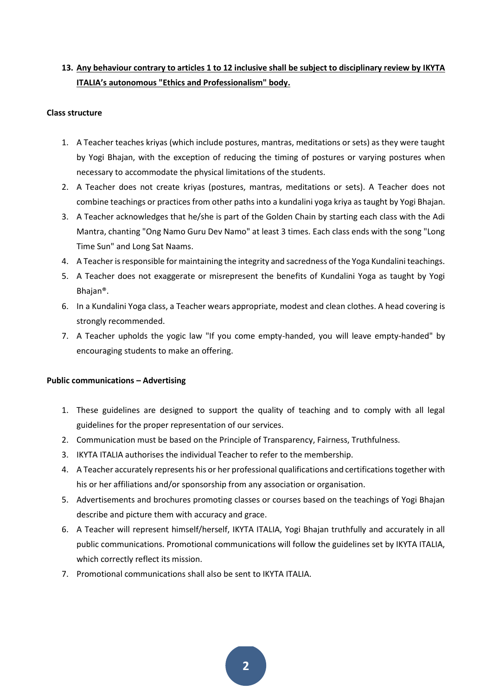# **13. Any behaviour contrary to articles 1 to 12 inclusive shall be subject to disciplinary review by IKYTA ITALIA's autonomous "Ethics and Professionalism" body.**

# **Class structure**

- 1. A Teacher teaches kriyas (which include postures, mantras, meditations or sets) as they were taught by Yogi Bhajan, with the exception of reducing the timing of postures or varying postures when necessary to accommodate the physical limitations of the students.
- 2. A Teacher does not create kriyas (postures, mantras, meditations or sets). A Teacher does not combine teachings or practices from other paths into a kundalini yoga kriya as taught by Yogi Bhajan.
- 3. A Teacher acknowledges that he/she is part of the Golden Chain by starting each class with the Adi Mantra, chanting "Ong Namo Guru Dev Namo" at least 3 times. Each class ends with the song "Long Time Sun" and Long Sat Naams.
- 4. A Teacher is responsible for maintaining the integrity and sacredness of the Yoga Kundalini teachings.
- 5. A Teacher does not exaggerate or misrepresent the benefits of Kundalini Yoga as taught by Yogi Bhajan®.
- 6. In a Kundalini Yoga class, a Teacher wears appropriate, modest and clean clothes. A head covering is strongly recommended.
- 7. A Teacher upholds the yogic law "If you come empty-handed, you will leave empty-handed" by encouraging students to make an offering.

# **Public communications – Advertising**

- 1. These guidelines are designed to support the quality of teaching and to comply with all legal guidelines for the proper representation of our services.
- 2. Communication must be based on the Principle of Transparency, Fairness, Truthfulness.
- 3. IKYTA ITALIA authorises the individual Teacher to refer to the membership.
- 4. A Teacher accurately represents his or her professional qualifications and certifications together with his or her affiliations and/or sponsorship from any association or organisation.
- 5. Advertisements and brochures promoting classes or courses based on the teachings of Yogi Bhajan describe and picture them with accuracy and grace.
- 6. A Teacher will represent himself/herself, IKYTA ITALIA, Yogi Bhajan truthfully and accurately in all public communications. Promotional communications will follow the guidelines set by IKYTA ITALIA, which correctly reflect its mission.
- 7. Promotional communications shall also be sent to IKYTA ITALIA.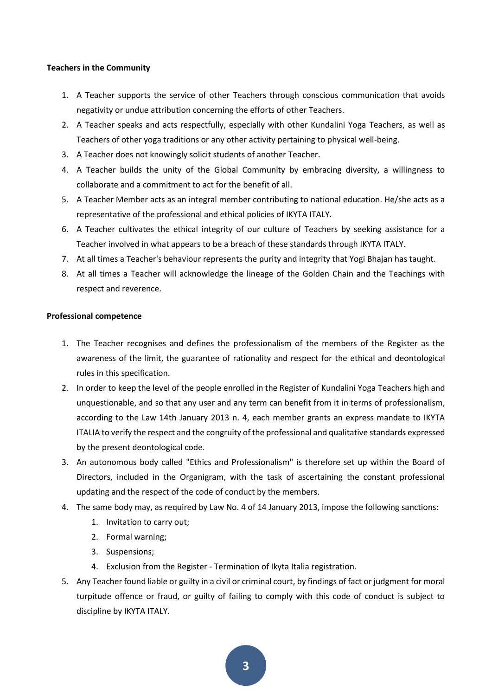## **Teachers in the Community**

- 1. A Teacher supports the service of other Teachers through conscious communication that avoids negativity or undue attribution concerning the efforts of other Teachers.
- 2. A Teacher speaks and acts respectfully, especially with other Kundalini Yoga Teachers, as well as Teachers of other yoga traditions or any other activity pertaining to physical well-being.
- 3. A Teacher does not knowingly solicit students of another Teacher.
- 4. A Teacher builds the unity of the Global Community by embracing diversity, a willingness to collaborate and a commitment to act for the benefit of all.
- 5. A Teacher Member acts as an integral member contributing to national education. He/she acts as a representative of the professional and ethical policies of IKYTA ITALY.
- 6. A Teacher cultivates the ethical integrity of our culture of Teachers by seeking assistance for a Teacher involved in what appears to be a breach of these standards through IKYTA ITALY.
- 7. At all times a Teacher's behaviour represents the purity and integrity that Yogi Bhajan has taught.
- 8. At all times a Teacher will acknowledge the lineage of the Golden Chain and the Teachings with respect and reverence.

## **Professional competence**

- 1. The Teacher recognises and defines the professionalism of the members of the Register as the awareness of the limit, the guarantee of rationality and respect for the ethical and deontological rules in this specification.
- 2. In order to keep the level of the people enrolled in the Register of Kundalini Yoga Teachers high and unquestionable, and so that any user and any term can benefit from it in terms of professionalism, according to the Law 14th January 2013 n. 4, each member grants an express mandate to IKYTA ITALIA to verify the respect and the congruity of the professional and qualitative standards expressed by the present deontological code.
- 3. An autonomous body called "Ethics and Professionalism" is therefore set up within the Board of Directors, included in the Organigram, with the task of ascertaining the constant professional updating and the respect of the code of conduct by the members.
- 4. The same body may, as required by Law No. 4 of 14 January 2013, impose the following sanctions:
	- 1. Invitation to carry out;
	- 2. Formal warning;
	- 3. Suspensions;
	- 4. Exclusion from the Register Termination of Ikyta Italia registration.
- 5. Any Teacher found liable or guilty in a civil or criminal court, by findings of fact or judgment for moral turpitude offence or fraud, or guilty of failing to comply with this code of conduct is subject to discipline by IKYTA ITALY.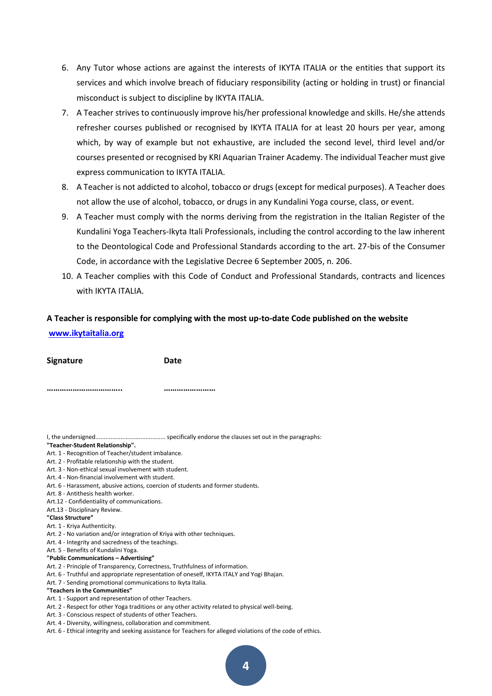- 6. Any Tutor whose actions are against the interests of IKYTA ITALIA or the entities that support its services and which involve breach of fiduciary responsibility (acting or holding in trust) or financial misconduct is subject to discipline by IKYTA ITALIA.
- 7. A Teacher strives to continuously improve his/her professional knowledge and skills. He/she attends refresher courses published or recognised by IKYTA ITALIA for at least 20 hours per year, among which, by way of example but not exhaustive, are included the second level, third level and/or courses presented or recognised by KRI Aquarian Trainer Academy. The individual Teacher must give express communication to IKYTA ITALIA.
- 8. A Teacher is not addicted to alcohol, tobacco or drugs (except for medical purposes). A Teacher does not allow the use of alcohol, tobacco, or drugs in any Kundalini Yoga course, class, or event.
- 9. A Teacher must comply with the norms deriving from the registration in the Italian Register of the Kundalini Yoga Teachers-Ikyta Itali Professionals, including the control according to the law inherent to the Deontological Code and Professional Standards according to the art. 27-bis of the Consumer Code, in accordance with the Legislative Decree 6 September 2005, n. 206.
- 10. A Teacher complies with this Code of Conduct and Professional Standards, contracts and licences with IKYTA ITALIA.

# **A Teacher is responsible for complying with the most up-to-date Code published on the website**

| <b>Signature</b> | Date |
|------------------|------|
|                  |      |

**…………………………….. ……………………**

I, the undersigned.......................................... specifically endorse the clauses set out in the paragraphs:

### **"Teacher-Student Relationship".**

**[www.ikytaitalia.org](http://www.ikytaitalia.org/)**

## Art. 1 - Recognition of Teacher/student imbalance.

#### Art. 2 - Profitable relationship with the student.

- Art. 3 Non-ethical sexual involvement with student.
- Art. 4 Non-financial involvement with student.
- Art. 6 Harassment, abusive actions, coercion of students and former students.
- Art. 8 Antithesis health worker.
- Art.12 Confidentiality of communications.
- Art.13 Disciplinary Review.
- **"Class Structure"**
- Art. 1 Kriya Authenticity.
- Art. 2 No variation and/or integration of Kriya with other techniques.
- Art. 4 Integrity and sacredness of the teachings.

## Art. 5 - Benefits of Kundalini Yoga.

### **"Public Communications – Advertising"**

- Art. 2 Principle of Transparency, Correctness, Truthfulness of information.
- Art. 6 Truthful and appropriate representation of oneself, IKYTA ITALY and Yogi Bhajan.
- Art. 7 Sending promotional communications to Ikyta Italia.

#### **"Teachers in the Communities"**

- Art. 1 Support and representation of other Teachers.
- Art. 2 Respect for other Yoga traditions or any other activity related to physical well-being.
- Art. 3 Conscious respect of students of other Teachers.
- Art. 4 Diversity, willingness, collaboration and commitment.
- Art. 6 Ethical integrity and seeking assistance for Teachers for alleged violations of the code of ethics.